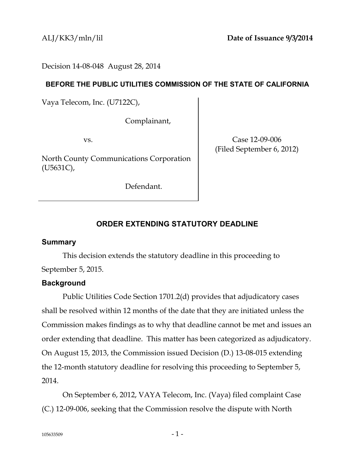Decision 14-08-048 August 28, 2014

## **BEFORE THE PUBLIC UTILITIES COMMISSION OF THE STATE OF CALIFORNIA**

Vaya Telecom, Inc. (U7122C),

Complainant,

vs.

North County Communications Corporation (U5631C),

Defendant.

Case 12-09-006 (Filed September 6, 2012)

# **ORDER EXTENDING STATUTORY DEADLINE**

## **Summary**

This decision extends the statutory deadline in this proceeding to September 5, 2015.

# **Background**

Public Utilities Code Section 1701.2(d) provides that adjudicatory cases shall be resolved within 12 months of the date that they are initiated unless the Commission makes findings as to why that deadline cannot be met and issues an order extending that deadline. This matter has been categorized as adjudicatory. On August 15, 2013, the Commission issued Decision (D.) 13-08-015 extending the 12-month statutory deadline for resolving this proceeding to September 5, 2014.

On September 6, 2012, VAYA Telecom, Inc. (Vaya) filed complaint Case (C.) 12-09-006, seeking that the Commission resolve the dispute with North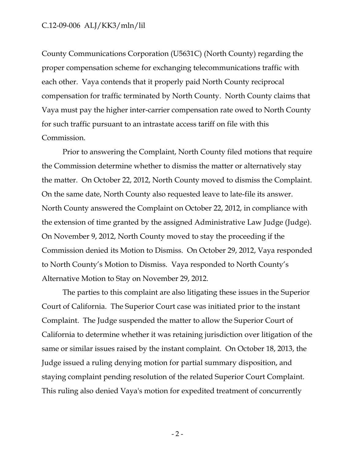### C.12-09-006 ALJ/KK3/mln/lil

County Communications Corporation (U5631C) (North County) regarding the proper compensation scheme for exchanging telecommunications traffic with each other. Vaya contends that it properly paid North County reciprocal compensation for traffic terminated by North County. North County claims that Vaya must pay the higher inter-carrier compensation rate owed to North County for such traffic pursuant to an intrastate access tariff on file with this Commission.

Prior to answering the Complaint, North County filed motions that require the Commission determine whether to dismiss the matter or alternatively stay the matter. On October 22, 2012, North County moved to dismiss the Complaint. On the same date, North County also requested leave to late-file its answer. North County answered the Complaint on October 22, 2012, in compliance with the extension of time granted by the assigned Administrative Law Judge (Judge). On November 9, 2012, North County moved to stay the proceeding if the Commission denied its Motion to Dismiss. On October 29, 2012, Vaya responded to North County's Motion to Dismiss. Vaya responded to North County's Alternative Motion to Stay on November 29, 2012.

The parties to this complaint are also litigating these issues in the Superior Court of California. The Superior Court case was initiated prior to the instant Complaint. The Judge suspended the matter to allow the Superior Court of California to determine whether it was retaining jurisdiction over litigation of the same or similar issues raised by the instant complaint. On October 18, 2013, the Judge issued a ruling denying motion for partial summary disposition, and staying complaint pending resolution of the related Superior Court Complaint. This ruling also denied Vaya's motion for expedited treatment of concurrently

- 2 -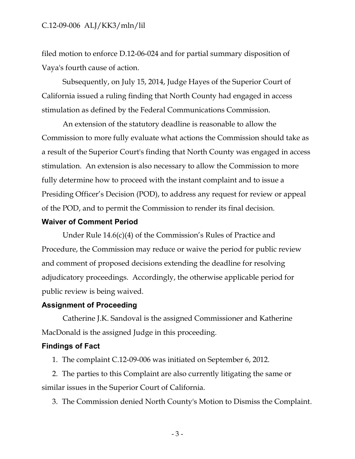## C.12-09-006 ALJ/KK3/mln/lil

filed motion to enforce D.12-06-024 and for partial summary disposition of Vaya's fourth cause of action.

Subsequently, on July 15, 2014, Judge Hayes of the Superior Court of California issued a ruling finding that North County had engaged in access stimulation as defined by the Federal Communications Commission.

An extension of the statutory deadline is reasonable to allow the Commission to more fully evaluate what actions the Commission should take as a result of the Superior Court's finding that North County was engaged in access stimulation. An extension is also necessary to allow the Commission to more fully determine how to proceed with the instant complaint and to issue a Presiding Officer's Decision (POD), to address any request for review or appeal of the POD, and to permit the Commission to render its final decision.

### **Waiver of Comment Period**

Under Rule 14.6(c)(4) of the Commission's Rules of Practice and Procedure, the Commission may reduce or waive the period for public review and comment of proposed decisions extending the deadline for resolving adjudicatory proceedings. Accordingly, the otherwise applicable period for public review is being waived.

### **Assignment of Proceeding**

Catherine J.K. Sandoval is the assigned Commissioner and Katherine MacDonald is the assigned Judge in this proceeding.

### **Findings of Fact**

1. The complaint C.12-09-006 was initiated on September 6, 2012.

2. The parties to this Complaint are also currently litigating the same or similar issues in the Superior Court of California.

3. The Commission denied North County's Motion to Dismiss the Complaint.